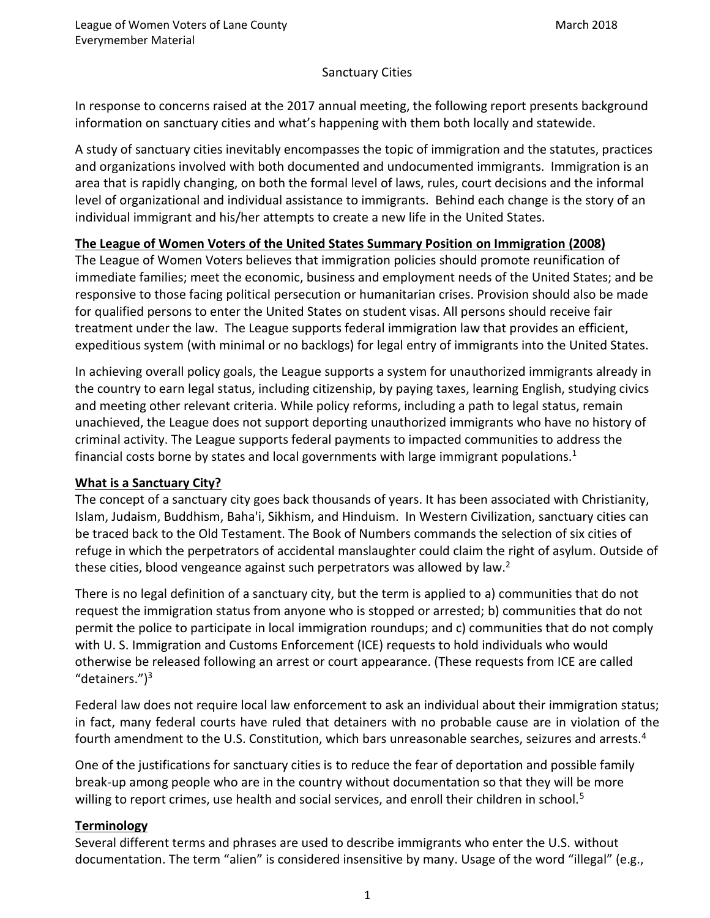## Sanctuary Cities

In response to concerns raised at the 2017 annual meeting, the following report presents background information on sanctuary cities and what's happening with them both locally and statewide.

A study of sanctuary cities inevitably encompasses the topic of immigration and the statutes, practices and organizations involved with both documented and undocumented immigrants. Immigration is an area that is rapidly changing, on both the formal level of laws, rules, court decisions and the informal level of organizational and individual assistance to immigrants. Behind each change is the story of an individual immigrant and his/her attempts to create a new life in the United States.

# **The League of Women Voters of the United States Summary Position on Immigration (2008)**

The League of Women Voters believes that immigration policies should promote reunification of immediate families; meet the economic, business and employment needs of the United States; and be responsive to those facing political persecution or humanitarian crises. Provision should also be made for qualified persons to enter the United States on student visas. All persons should receive fair treatment under the law. The League supports federal immigration law that provides an efficient, expeditious system (with minimal or no backlogs) for legal entry of immigrants into the United States.

In achieving overall policy goals, the League supports a system for unauthorized immigrants already in the country to earn legal status, including citizenship, by paying taxes, learning English, studying civics and meeting other relevant criteria. While policy reforms, including a path to legal status, remain unachieved, the League does not support deporting unauthorized immigrants who have no history of criminal activity. The League supports federal payments to impacted communities to address the financial costs borne by states and local governments with large immigrant populations.<sup>1</sup>

## **What is a Sanctuary City?**

The concept of a sanctuary city goes back thousands of years. It has been associated with Christianity, Islam, Judaism, Buddhism, Baha'i, Sikhism, and Hinduism. In Western Civilization, sanctuary cities can be traced back to the Old Testament. The Book of Numbers commands the selection of six cities of refuge in which the perpetrators of accidental manslaughter could claim the right of asylum. Outside of these cities, blood vengeance against such perpetrators was allowed by law.<sup>2</sup>

There is no legal definition of a sanctuary city, but the term is applied to a) communities that do not request the immigration status from anyone who is stopped or arrested; b) communities that do not permit the police to participate in local immigration roundups; and c) communities that do not comply with U. S. Immigration and Customs Enforcement (ICE) requests to hold individuals who would otherwise be released following an arrest or court appearance. (These requests from ICE are called "detainers.")<sup>3</sup>

Federal law does not require local law enforcement to ask an individual about their immigration status; in fact, many federal courts have ruled that detainers with no probable cause are in violation of the fourth amendment to the U.S. Constitution, which bars unreasonable searches, seizures and arrests.<sup>4</sup>

One of the justifications for sanctuary cities is to reduce the fear of deportation and possible family break-up among people who are in the country without documentation so that they will be more willing to report crimes, use health and social services, and enroll their children in school.<sup>5</sup>

## **Terminology**

Several different terms and phrases are used to describe immigrants who enter the U.S. without documentation. The term "alien" is considered insensitive by many. Usage of the word "illegal" (e.g.,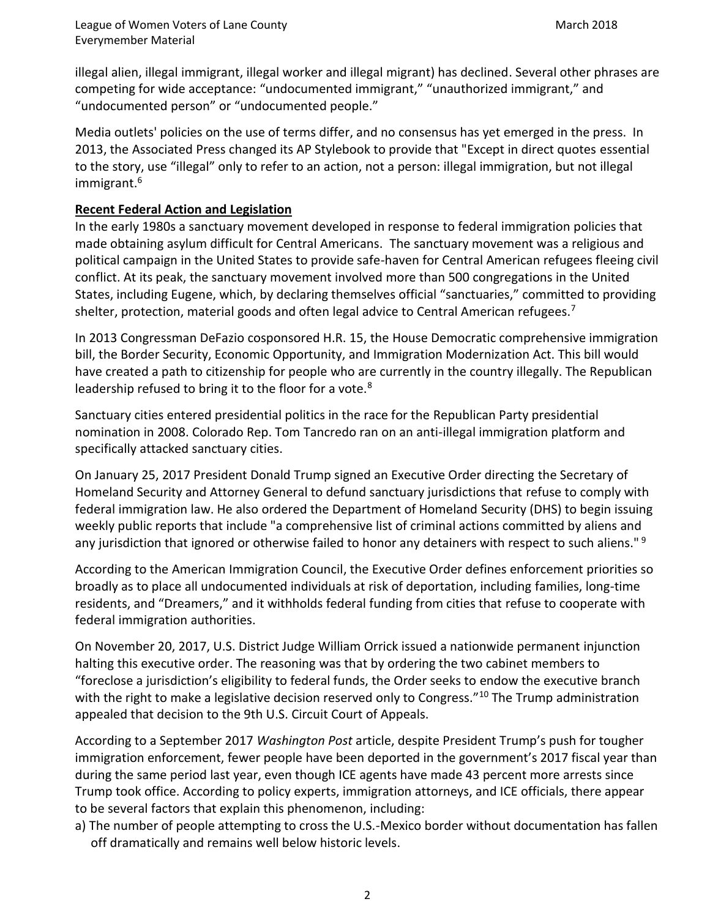illegal alien, illegal immigrant, illegal worker and illegal migrant) has declined. Several other phrases are competing for wide acceptance: "undocumented immigrant," "unauthorized immigrant," and "undocumented person" or "undocumented people."

Media outlets' policies on the use of terms differ, and no consensus has yet emerged in the press. In 2013, the Associated Press changed its AP Stylebook to provide that "Except in direct quotes essential to the story, use "illegal" only to refer to an action, not a person: illegal immigration, but not illegal immigrant.<sup>6</sup>

# **Recent Federal Action and Legislation**

In the early 1980s a sanctuary movement developed in response to federal immigration policies that made obtaining asylum difficult for Central Americans. The sanctuary movement was a religious and political campaign in the United States to provide safe-haven for Central American refugees fleeing civil conflict. At its peak, the sanctuary movement involved more than 500 [congregations](https://en.wiktionary.org/wiki/congregation) in the United States, including Eugene, which, by declaring themselves official "sanctuaries," committed to providing shelter, protection, material goods and often legal advice to Central American refugees.<sup>7</sup>

In 2013 Congressman DeFazio cosponsored H.R. 15, the House Democratic comprehensive immigration bill, the Border Security, Economic Opportunity, and Immigration Modernization Act. This bill would have created a path to citizenship for people who are currently in the country illegally. The Republican leadership refused to bring it to the floor for a vote.<sup>8</sup>

Sanctuary cities entered presidential politics in the race for the Republican Party presidential nomination in 2008. Colorado Rep. Tom Tancredo ran on an anti-illegal immigration platform and specifically attacked sanctuary cities.

On January 25, 2017 President Donald Trump signed an Executive Order directing the Secretary of Homeland Security and Attorney General to defund sanctuary jurisdictions that refuse to comply with federal immigration law. He also ordered the Department of Homeland Security (DHS) to begin issuing weekly public reports that include "a comprehensive list of criminal actions committed by aliens and any jurisdiction that ignored or otherwise failed to honor any detainers with respect to such aliens."<sup>9</sup>

According to the American Immigration Council, the Executive Order defines enforcement priorities so broadly as to place all undocumented individuals at risk of deportation, including families, long-time residents, and "Dreamers," and it withholds federal funding from cities that refuse to cooperate with federal immigration authorities.

On November 20, 2017, U.S. District Judge William Orrick issued a nationwide permanent injunction halting this executive order. The reasoning was that by ordering the two cabinet members to "foreclose a jurisdiction's eligibility to federal funds, the Order seeks to endow the executive branch with the right to make a legislative decision reserved only to Congress."<sup>10</sup> The Trump administration appealed that decision to the 9th U.S. Circuit Court of Appeals.

According to a September 2017 *Washington Post* article, despite President Trump's push for tougher immigration enforcement, fewer people have been deported in the government's 2017 fiscal year than during the same period last year, even though ICE agents have made 43 percent more arrests since Trump took office. According to policy experts, immigration attorneys, and ICE officials, there appear to be several factors that explain this phenomenon, including:

a) The number of people attempting to cross the U.S.-Mexico border without documentation has fallen off dramatically and remains well below historic levels.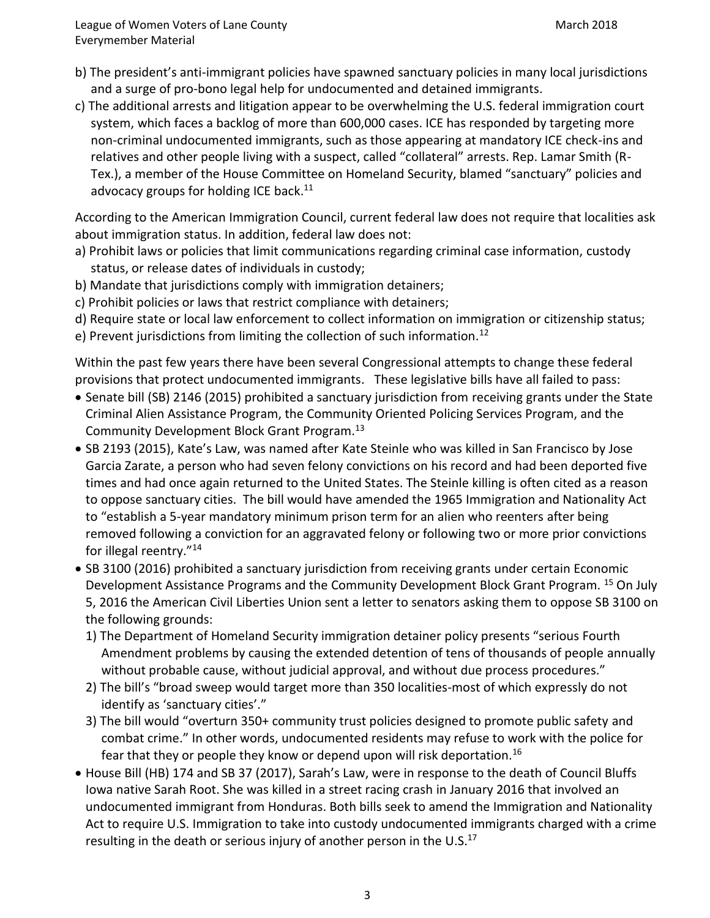League of Women Voters of Lane County March 2018 Everymember Material

- b) The president's anti-immigrant policies have spawned sanctuary policies in many local jurisdictions and a surge of pro-bono legal help for undocumented and detained immigrants.
- c) The additional arrests and litigation appear to be overwhelming the U.S. federal immigration court system, which faces a backlog of more than 600,000 cases. ICE has responded by targeting more non-criminal undocumented immigrants, such as those appearing at mandatory ICE check-ins and relatives and other people living with a suspect, called "collateral" arrests. Rep. Lamar Smith (R-Tex.), a member of the House Committee on Homeland Security, blamed "sanctuary" policies and advocacy groups for holding ICE back.<sup>11</sup>

According to the American Immigration Council, current federal law does not require that localities ask about immigration status. In addition, federal law does not:

- a) Prohibit laws or policies that limit communications regarding criminal case information, custody status, or release dates of individuals in custody;
- b) Mandate that jurisdictions comply with immigration detainers;
- c) Prohibit policies or laws that restrict compliance with detainers;
- d) Require state or local law enforcement to collect information on immigration or citizenship status;
- e) Prevent jurisdictions from limiting the collection of such information.<sup>12</sup>

Within the past few years there have been several Congressional attempts to change these federal provisions that protect undocumented immigrants. These legislative bills have all failed to pass:

- Senate bill (SB) 2146 (2015) prohibited a sanctuary jurisdiction from receiving grants under the State Criminal Alien Assistance Program, the Community Oriented Policing Services Program, and the Community Development Block Grant Program.<sup>13</sup>
- SB 2193 (2015), Kate's Law, was named after Kate Steinle who was killed in San Francisco by Jose Garcia Zarate, a person who had seven felony convictions on his record and had been deported five times and had once again returned to the United States. The Steinle killing is often cited as a reason to oppose sanctuary cities. The bill would have amended the 1965 Immigration and Nationality Act to "establish a 5-year mandatory minimum prison term for an alien who reenters after being removed following a conviction for an aggravated felony or following two or more prior convictions for illegal reentry."<sup>14</sup>
- SB 3100 (2016) prohibited a sanctuary jurisdiction from receiving grants under certain Economic Development Assistance Programs and the Community Development Block Grant Program. <sup>15</sup> On July 5, 2016 the American Civil Liberties Union sent a letter to senators asking them to oppose SB 3100 on the following grounds:
	- 1) The Department of Homeland Security immigration detainer policy presents "serious Fourth Amendment problems by causing the extended detention of tens of thousands of people annually without probable cause, without judicial approval, and without due process procedures."
	- 2) The bill's "broad sweep would target more than 350 localities-most of which expressly do not identify as 'sanctuary cities'."
	- 3) The bill would "overturn 350+ community trust policies designed to promote public safety and combat crime." In other words, undocumented residents may refuse to work with the police for fear that they or people they know or depend upon will risk deportation.<sup>16</sup>
- House Bill (HB) 174 and SB 37 (2017), Sarah's Law, were in response to the death of Council Bluffs Iowa native Sarah Root. She was killed in a street racing crash in January 2016 that involved an undocumented immigrant from Honduras. Both bills seek to amend the Immigration and Nationality Act to require U.S. Immigration to take into custody undocumented immigrants charged with a crime resulting in the death or serious injury of another person in the U.S.<sup>17</sup>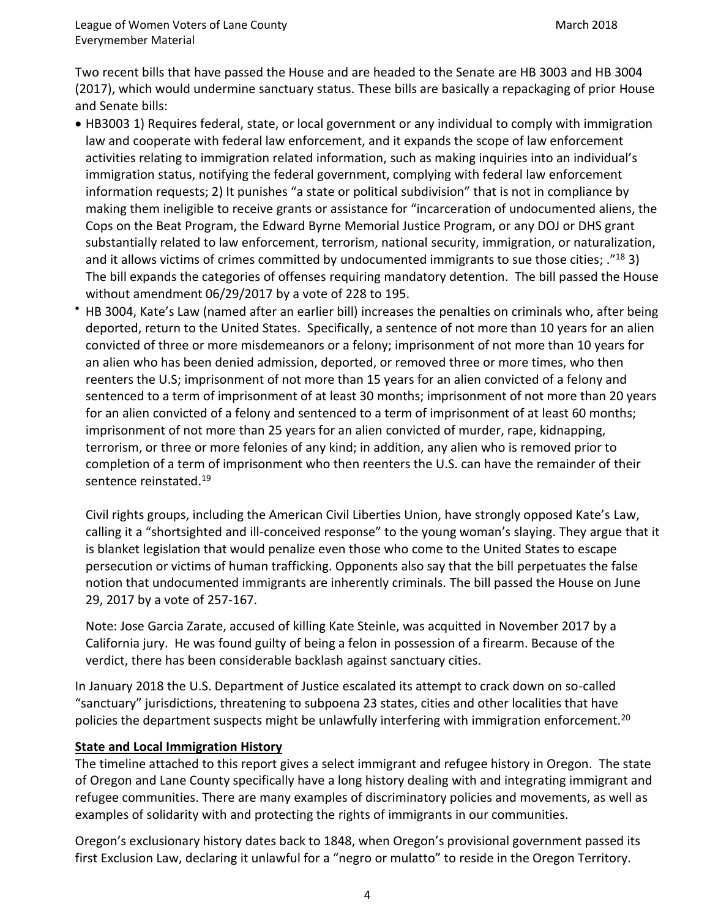Two recent bills that have passed the House and are headed to the Senate are HB 3003 and HB 3004 (2017), which would undermine sanctuary status. These bills are basically a repackaging of prior House and Senate bills:

- HB3003 1) Requires federal, state, or local government or any individual to comply with immigration law and cooperate with federal law enforcement, and it expands the scope of law enforcement activities relating to immigration related information, such as making inquiries into an individual's immigration status, notifying the federal government, complying with federal law enforcement information requests; 2) It punishes "a state or political subdivision" that is not in compliance by making them ineligible to receive grants or assistance for "incarceration of undocumented aliens, the Cops on the Beat Program, the Edward Byrne Memorial Justice Program, or any DOJ or DHS grant substantially related to law enforcement, terrorism, national security, immigration, or naturalization, and it allows victims of crimes committed by undocumented immigrants to sue those cities; ."<sup>18</sup> 3) The bill expands the categories of offenses requiring mandatory detention. The bill passed the House without amendment 06/29/2017 by a vote of 228 to 195.
- HB 3004, Kate's Law (named after an earlier bill) increases the penalties on criminals who, after being deported, return to the United States. Specifically, a sentence of not more than 10 years for an alien convicted of three or more misdemeanors or a felony; imprisonment of not more than 10 years for an alien who has been denied admission, deported, or removed three or more times, who then reenters the U.S; imprisonment of not more than 15 years for an alien convicted of a felony and sentenced to a term of imprisonment of at least 30 months; imprisonment of not more than 20 years for an alien convicted of a felony and sentenced to a term of imprisonment of at least 60 months; imprisonment of not more than 25 years for an alien convicted of murder, rape, kidnapping, terrorism, or three or more felonies of any kind; in addition, any alien who is removed prior to completion of a term of imprisonment who then reenters the U.S. can have the remainder of their sentence reinstated.<sup>19</sup>

Civil rights groups, including the American Civil Liberties Union, have strongly opposed Kate's Law, calling it a "shortsighted and ill-conceived response" to the young woman's slaying. They argue that it is blanket legislation that would penalize even those who come to the United States to escape persecution or victims of human trafficking. Opponents also say that the bill perpetuates the false notion that undocumented immigrants are inherently criminals. The bill passed the House on June 29, 2017 by a vote of 257-167.

Note: Jose Garcia Zarate, accused of killing Kate Steinle, was acquitted in November 2017 by a California jury. He was found guilty of being a felon in possession of a firearm. Because of the verdict, there has been considerable backlash against sanctuary cities.

In January 2018 the U.S. Department of Justice escalated its attempt to crack down on so-called "sanctuary" jurisdictions, threatening to subpoena 23 states, cities and other localities that have policies the department suspects might be unlawfully interfering with immigration enforcement.<sup>20</sup>

## **State and Local Immigration History**

The timeline attached to this report gives a select immigrant and refugee history in Oregon. The state of Oregon and Lane County specifically have a long history dealing with and integrating immigrant and refugee communities. There are many examples of discriminatory policies and movements, as well as examples of solidarity with and protecting the rights of immigrants in our communities.

Oregon's exclusionary history dates back to 1848, when Oregon's provisional government passed its first Exclusion Law, declaring it unlawful for a "negro or mulatto" to reside in the Oregon Territory.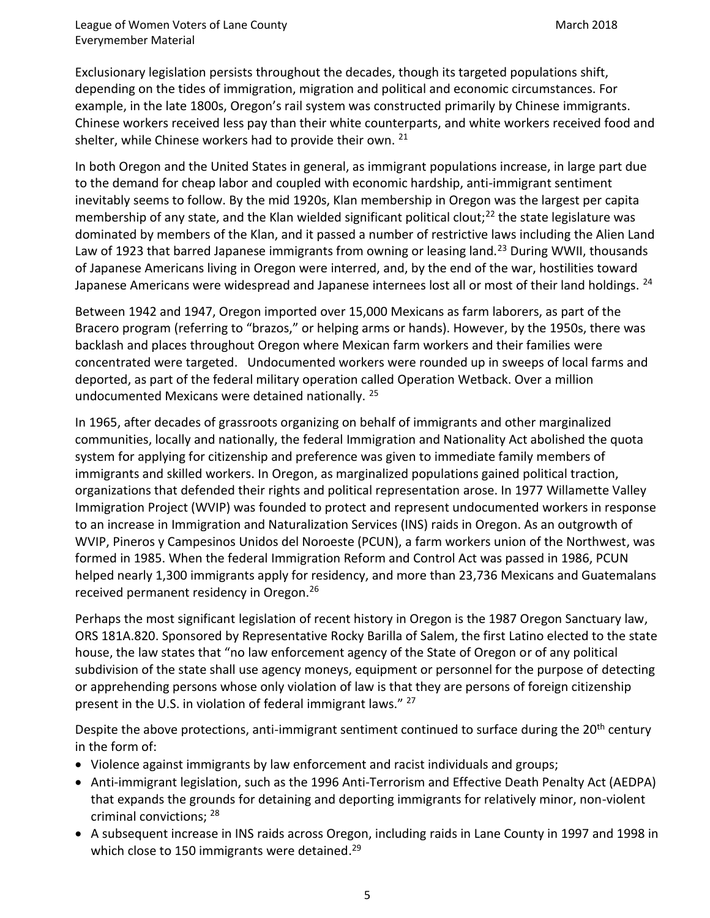League of Women Voters of Lane County March 2018 Everymember Material

Exclusionary legislation persists throughout the decades, though its targeted populations shift, depending on the tides of immigration, migration and political and economic circumstances. For example, in the late 1800s, Oregon's rail system was constructed primarily by Chinese immigrants. Chinese workers received less pay than their white counterparts, and white workers received food and shelter, while Chinese workers had to provide their own.<sup>21</sup>

In both Oregon and the United States in general, as immigrant populations increase, in large part due to the demand for cheap labor and coupled with economic hardship, anti-immigrant sentiment inevitably seems to follow. By the mid 1920s, Klan membership in Oregon was the largest per capita membership of any state, and the Klan wielded significant political clout;<sup>22</sup> the state legislature was dominated by members of the Klan, and it passed a number of restrictive laws including the Alien Land Law of 1923 that barred Japanese immigrants from owning or leasing land.<sup>23</sup> During WWII, thousands of Japanese Americans living in Oregon were interred, and, by the end of the war, hostilities toward Japanese Americans were widespread and Japanese internees lost all or most of their land holdings. <sup>24</sup>

Between 1942 and 1947, Oregon imported over 15,000 Mexicans as farm laborers, as part of the Bracero program (referring to "brazos," or helping arms or hands). However, by the 1950s, there was backlash and places throughout Oregon where Mexican farm workers and their families were concentrated were targeted. Undocumented workers were rounded up in sweeps of local farms and deported, as part of the federal military operation called Operation Wetback. Over a million undocumented Mexicans were detained nationally.<sup>25</sup>

In 1965, after decades of grassroots organizing on behalf of immigrants and other marginalized communities, locally and nationally, the federal Immigration and Nationality Act abolished the quota system for applying for citizenship and preference was given to immediate family members of immigrants and skilled workers. In Oregon, as marginalized populations gained political traction, organizations that defended their rights and political representation arose. In 1977 Willamette Valley Immigration Project (WVIP) was founded to protect and represent undocumented workers in response to an increase in Immigration and Naturalization Services (INS) raids in Oregon. As an outgrowth of WVIP, Pineros y Campesinos Unidos del Noroeste (PCUN), a farm workers union of the Northwest, was formed in 1985. When the federal Immigration Reform and Control Act was passed in 1986, PCUN helped nearly 1,300 immigrants apply for residency, and more than 23,736 Mexicans and Guatemalans received permanent residency in Oregon.<sup>26</sup>

Perhaps the most significant legislation of recent history in Oregon is the 1987 Oregon Sanctuary law, ORS 181A.820. Sponsored by Representative Rocky Barilla of Salem, the first Latino elected to the state house, the law states that "no law enforcement agency of the State of Oregon or of any political subdivision of the state shall use agency moneys, equipment or personnel for the purpose of detecting or apprehending persons whose only violation of law is that they are persons of foreign citizenship present in the U.S. in violation of federal immigrant laws."<sup>27</sup>

Despite the above protections, anti-immigrant sentiment continued to surface during the 20<sup>th</sup> century in the form of:

- Violence against immigrants by law enforcement and racist individuals and groups;
- Anti-immigrant legislation, such as the 1996 Anti-Terrorism and Effective Death Penalty Act (AEDPA) that expands the grounds for detaining and deporting immigrants for relatively minor, non-violent criminal convictions; <sup>28</sup>
- A subsequent increase in INS raids across Oregon, including raids in Lane County in 1997 and 1998 in which close to 150 immigrants were detained.<sup>29</sup>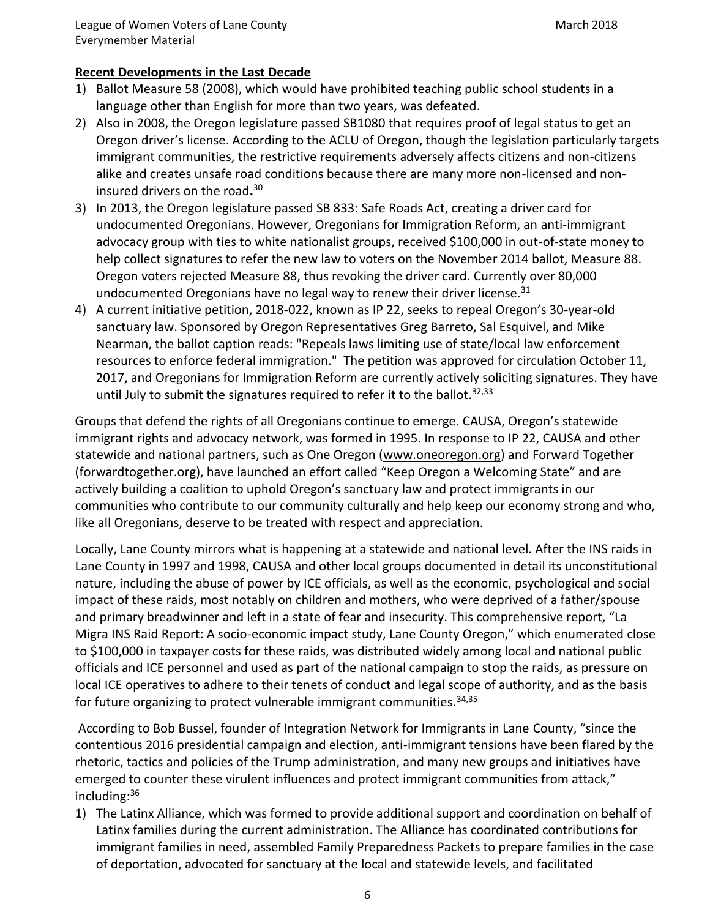# **Recent Developments in the Last Decade**

- 1) Ballot Measure 58 (2008), which would have prohibited teaching public school students in a language other than English for more than two years, was defeated.
- 2) Also in 2008, the Oregon legislature passed SB1080 that requires proof of legal status to get an Oregon driver's license. According to the ACLU of Oregon, though the legislation particularly targets immigrant communities, the restrictive requirements adversely affects citizens and non-citizens alike and creates unsafe road conditions because there are many more non-licensed and noninsured drivers on the road**.** 30
- 3) In 2013, the Oregon legislature passed SB 833: Safe Roads Act, creating a driver card for undocumented Oregonians. However, Oregonians for Immigration Reform, an anti-immigrant advocacy group with ties to white nationalist groups, received \$100,000 in out-of-state money to help collect signatures to refer the new law to voters on the November 2014 ballot, Measure 88. Oregon voters rejected Measure 88, thus revoking the driver card. Currently over 80,000 undocumented Oregonians have no legal way to renew their driver license.<sup>31</sup>
- 4) A current initiative petition, 2018-022, known as IP 22, seeks to repeal Oregon's 30-year-old sanctuary law. Sponsored by Oregon Representatives Greg Barreto, Sal Esquivel, and Mike Nearman, the ballot caption reads: "Repeals laws limiting use of state/local law enforcement resources to enforce federal immigration." The petition was approved for circulation October 11, 2017, and Oregonians for Immigration Reform are currently actively soliciting signatures. They have until July to submit the signatures required to refer it to the ballot.  $32,33$

Groups that defend the rights of all Oregonians continue to emerge. CAUSA, Oregon's statewide immigrant rights and advocacy network, was formed in 1995. In response to IP 22, CAUSA and other statewide and national partners, such as One Oregon [\(www.oneoregon.org\)](http://www.oneoregon.org/) and Forward Together (forwardtogether.org), have launched an effort called "Keep Oregon a Welcoming State" and are actively building a coalition to uphold Oregon's sanctuary law and protect immigrants in our communities who contribute to our community culturally and help keep our economy strong and who, like all Oregonians, deserve to be treated with respect and appreciation.

Locally, Lane County mirrors what is happening at a statewide and national level. After the INS raids in Lane County in 1997 and 1998, CAUSA and other local groups documented in detail its unconstitutional nature, including the abuse of power by ICE officials, as well as the economic, psychological and social impact of these raids, most notably on children and mothers, who were deprived of a father/spouse and primary breadwinner and left in a state of fear and insecurity. This comprehensive report, "La Migra INS Raid Report: A socio-economic impact study, Lane County Oregon," which enumerated close to \$100,000 in taxpayer costs for these raids, was distributed widely among local and national public officials and ICE personnel and used as part of the national campaign to stop the raids, as pressure on local ICE operatives to adhere to their tenets of conduct and legal scope of authority, and as the basis for future organizing to protect vulnerable immigrant communities.  $34,35$ 

According to Bob Bussel, founder of Integration Network for Immigrants in Lane County, "since the contentious 2016 presidential campaign and election, anti-immigrant tensions have been flared by the rhetoric, tactics and policies of the Trump administration, and many new groups and initiatives have emerged to counter these virulent influences and protect immigrant communities from attack," including:<sup>36</sup>

1) The Latinx Alliance, which was formed to provide additional support and coordination on behalf of Latinx families during the current administration. The Alliance has coordinated contributions for immigrant families in need, assembled Family Preparedness Packets to prepare families in the case of deportation, advocated for sanctuary at the local and statewide levels, and facilitated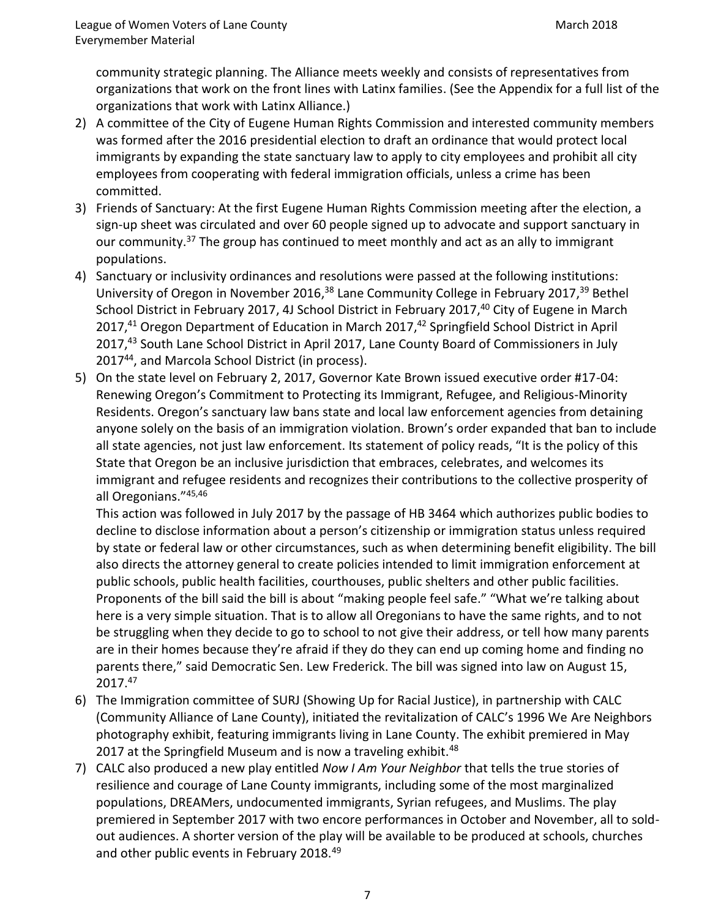community strategic planning. The Alliance meets weekly and consists of representatives from organizations that work on the front lines with Latinx families. (See the Appendix for a full list of the organizations that work with Latinx Alliance.)

- 2) A committee of the City of Eugene Human Rights Commission and interested community members was formed after the 2016 presidential election to draft an ordinance that would protect local immigrants by expanding the state sanctuary law to apply to city employees and prohibit all city employees from cooperating with federal immigration officials, unless a crime has been committed.
- 3) Friends of Sanctuary: At the first Eugene Human Rights Commission meeting after the election, a sign-up sheet was circulated and over 60 people signed up to advocate and support sanctuary in our community.<sup>37</sup> The group has continued to meet monthly and act as an ally to immigrant populations.
- 4) Sanctuary or inclusivity ordinances and resolutions were passed at the following institutions: University of Oregon in November 2016,<sup>38</sup> Lane Community College in February 2017,<sup>39</sup> Bethel School District in February 2017, 4J School District in February 2017,<sup>40</sup> City of Eugene in March 2017,<sup>41</sup> Oregon Department of Education in March 2017,<sup>42</sup> Springfield School District in April 2017, <sup>43</sup> South Lane School District in April 2017, Lane County Board of Commissioners in July 2017<sup>44</sup>, and Marcola School District (in process).
- 5) On the state level on February 2, 2017, Governor Kate Brown issued executive order #17-04: Renewing Oregon's Commitment to Protecting its Immigrant, Refugee, and Religious-Minority Residents. Oregon's sanctuary law bans state and local law enforcement agencies from detaining anyone solely on the basis of an immigration violation. Brown's order expanded that ban to include all state agencies, not just law enforcement. Its statement of policy reads, "It is the policy of this State that Oregon be an inclusive jurisdiction that embraces, celebrates, and welcomes its immigrant and refugee residents and recognizes their contributions to the collective prosperity of all Oregonians."45,46

This action was followed in July 2017 by the passage of HB 3464 which authorizes public bodies to decline to disclose information about a person's citizenship or immigration status unless required by state or federal law or other circumstances, such as when determining benefit eligibility. The bill also directs the attorney general to create policies intended to limit immigration enforcement at public schools, public health facilities, courthouses, public shelters and other public facilities. Proponents of the bill said the bill is about "making people feel safe." "What we're talking about here is a very simple situation. That is to allow all Oregonians to have the same rights, and to not be struggling when they decide to go to school to not give their address, or tell how many parents are in their homes because they're afraid if they do they can end up coming home and finding no parents there," said Democratic Sen. Lew Frederick. The bill was signed into law on August 15, 2017. 47

- 6) The Immigration committee of SURJ (Showing Up for Racial Justice), in partnership with CALC (Community Alliance of Lane County), initiated the revitalization of CALC's 1996 We Are Neighbors photography exhibit, featuring immigrants living in Lane County. The exhibit premiered in May 2017 at the Springfield Museum and is now a traveling exhibit.<sup>48</sup>
- 7) CALC also produced a new play entitled *Now I Am Your Neighbor* that tells the true stories of resilience and courage of Lane County immigrants, including some of the most marginalized populations, DREAMers, undocumented immigrants, Syrian refugees, and Muslims. The play premiered in September 2017 with two encore performances in October and November, all to soldout audiences. A shorter version of the play will be available to be produced at schools, churches and other public events in February 2018.<sup>49</sup>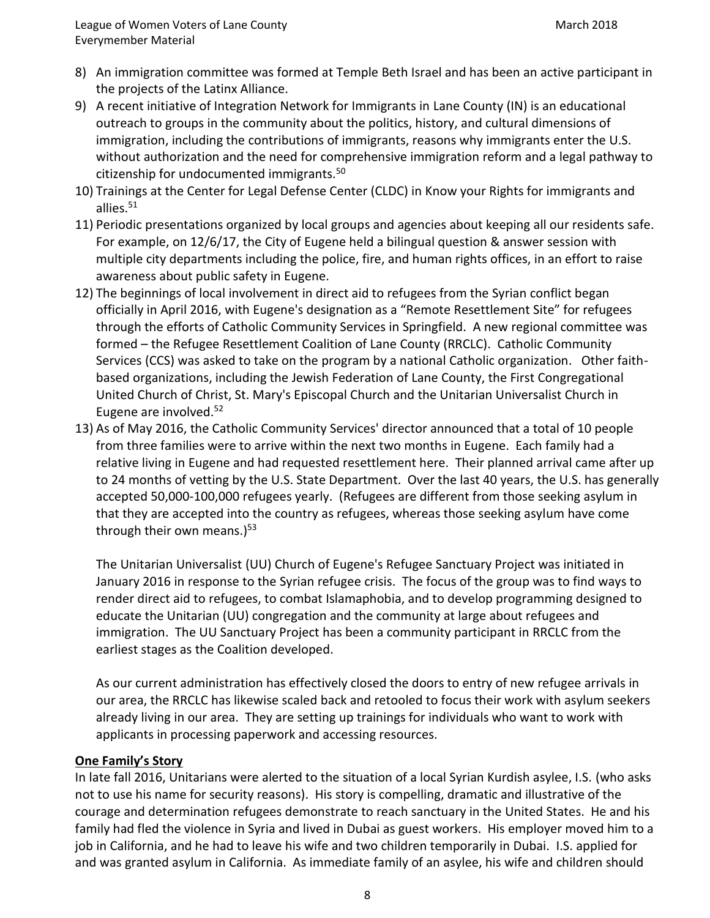- 8) An immigration committee was formed at Temple Beth Israel and has been an active participant in the projects of the Latinx Alliance.
- 9) A recent initiative of Integration Network for Immigrants in Lane County (IN) is an educational outreach to groups in the community about the politics, history, and cultural dimensions of immigration, including the contributions of immigrants, reasons why immigrants enter the U.S. without authorization and the need for comprehensive immigration reform and a legal pathway to citizenship for undocumented immigrants.<sup>50</sup>
- 10) Trainings at the Center for Legal Defense Center (CLDC) in Know your Rights for immigrants and allies.<sup>51</sup>
- 11) Periodic presentations organized by local groups and agencies about keeping all our residents safe. For example, on 12/6/17, the City of Eugene held a bilingual question & answer session with multiple city departments including the police, fire, and human rights offices, in an effort to raise awareness about public safety in Eugene.
- 12) The beginnings of local involvement in direct aid to refugees from the Syrian conflict began officially in April 2016, with Eugene's designation as a "Remote Resettlement Site" for refugees through the efforts of Catholic Community Services in Springfield. A new regional committee was formed – the Refugee Resettlement Coalition of Lane County (RRCLC). Catholic Community Services (CCS) was asked to take on the program by a national Catholic organization. Other faithbased organizations, including the Jewish Federation of Lane County, the First Congregational United Church of Christ, St. Mary's Episcopal Church and the Unitarian Universalist Church in Eugene are involved.<sup>52</sup>
- 13) As of May 2016, the Catholic Community Services' director announced that a total of 10 people from three families were to arrive within the next two months in Eugene. Each family had a relative living in Eugene and had requested resettlement here. Their planned arrival came after up to 24 months of vetting by the U.S. State Department. Over the last 40 years, the U.S. has generally accepted 50,000-100,000 refugees yearly. (Refugees are different from those seeking asylum in that they are accepted into the country as refugees, whereas those seeking asylum have come through their own means.)<sup>53</sup>

The Unitarian Universalist (UU) Church of Eugene's Refugee Sanctuary Project was initiated in January 2016 in response to the Syrian refugee crisis. The focus of the group was to find ways to render direct aid to refugees, to combat Islamaphobia, and to develop programming designed to educate the Unitarian (UU) congregation and the community at large about refugees and immigration. The UU Sanctuary Project has been a community participant in RRCLC from the earliest stages as the Coalition developed.

As our current administration has effectively closed the doors to entry of new refugee arrivals in our area, the RRCLC has likewise scaled back and retooled to focus their work with asylum seekers already living in our area. They are setting up trainings for individuals who want to work with applicants in processing paperwork and accessing resources.

# **One Family's Story**

In late fall 2016, Unitarians were alerted to the situation of a local Syrian Kurdish asylee, I.S. (who asks not to use his name for security reasons). His story is compelling, dramatic and illustrative of the courage and determination refugees demonstrate to reach sanctuary in the United States. He and his family had fled the violence in Syria and lived in Dubai as guest workers. His employer moved him to a job in California, and he had to leave his wife and two children temporarily in Dubai. I.S. applied for and was granted asylum in California. As immediate family of an asylee, his wife and children should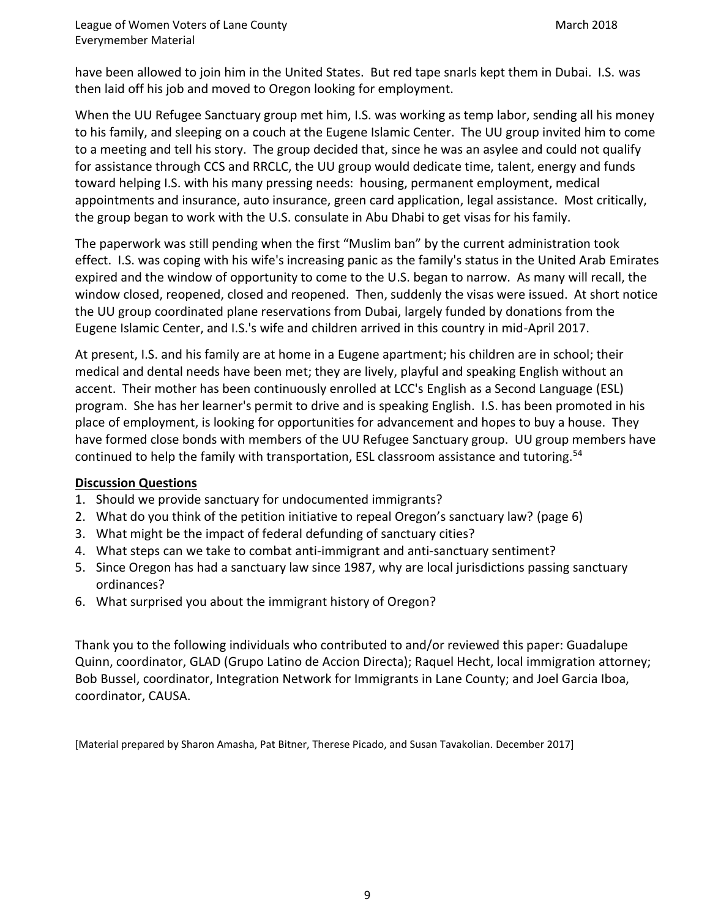have been allowed to join him in the United States. But red tape snarls kept them in Dubai. I.S. was then laid off his job and moved to Oregon looking for employment.

When the UU Refugee Sanctuary group met him, I.S. was working as temp labor, sending all his money to his family, and sleeping on a couch at the Eugene Islamic Center. The UU group invited him to come to a meeting and tell his story. The group decided that, since he was an asylee and could not qualify for assistance through CCS and RRCLC, the UU group would dedicate time, talent, energy and funds toward helping I.S. with his many pressing needs: housing, permanent employment, medical appointments and insurance, auto insurance, green card application, legal assistance. Most critically, the group began to work with the U.S. consulate in Abu Dhabi to get visas for his family.

The paperwork was still pending when the first "Muslim ban" by the current administration took effect. I.S. was coping with his wife's increasing panic as the family's status in the United Arab Emirates expired and the window of opportunity to come to the U.S. began to narrow. As many will recall, the window closed, reopened, closed and reopened. Then, suddenly the visas were issued. At short notice the UU group coordinated plane reservations from Dubai, largely funded by donations from the Eugene Islamic Center, and I.S.'s wife and children arrived in this country in mid-April 2017.

At present, I.S. and his family are at home in a Eugene apartment; his children are in school; their medical and dental needs have been met; they are lively, playful and speaking English without an accent. Their mother has been continuously enrolled at LCC's English as a Second Language (ESL) program. She has her learner's permit to drive and is speaking English. I.S. has been promoted in his place of employment, is looking for opportunities for advancement and hopes to buy a house. They have formed close bonds with members of the UU Refugee Sanctuary group. UU group members have continued to help the family with transportation, ESL classroom assistance and tutoring.<sup>54</sup>

## **Discussion Questions**

- 1. Should we provide sanctuary for undocumented immigrants?
- 2. What do you think of the petition initiative to repeal Oregon's sanctuary law? (page 6)
- 3. What might be the impact of federal defunding of sanctuary cities?
- 4. What steps can we take to combat anti-immigrant and anti-sanctuary sentiment?
- 5. Since Oregon has had a sanctuary law since 1987, why are local jurisdictions passing sanctuary ordinances?
- 6. What surprised you about the immigrant history of Oregon?

Thank you to the following individuals who contributed to and/or reviewed this paper: Guadalupe Quinn, coordinator, GLAD (Grupo Latino de Accion Directa); Raquel Hecht, local immigration attorney; Bob Bussel, coordinator, Integration Network for Immigrants in Lane County; and Joel Garcia Iboa, coordinator, CAUSA.

[Material prepared by Sharon Amasha, Pat Bitner, Therese Picado, and Susan Tavakolian. December 2017]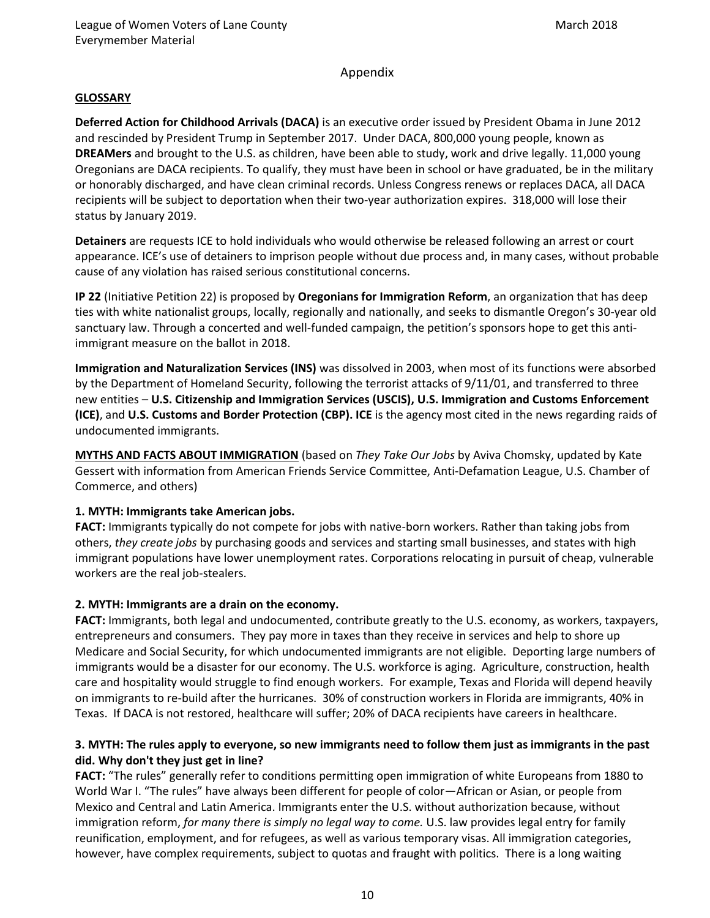## Appendix

#### **GLOSSARY**

**Deferred Action for Childhood Arrivals (DACA)** is an executive order issued by President Obama in June 2012 and rescinded by President Trump in September 2017. Under DACA, 800,000 young people, known as **DREAMers** and brought to the U.S. as children, have been able to study, work and drive legally. 11,000 young Oregonians are DACA recipients. To qualify, they must have been in school or have graduated, be in the military or honorably discharged, and have clean criminal records. Unless Congress renews or replaces DACA, all DACA recipients will be subject to deportation when their two-year authorization expires. 318,000 will lose their status by January 2019.

**Detainers** are requests ICE to hold individuals who would otherwise be released following an arrest or court appearance. ICE's use of detainers to imprison people without due process and, in many cases, without probable cause of any violation has raised serious constitutional concerns.

**IP 22** (Initiative Petition 22) is proposed by **Oregonians for Immigration Reform**, an organization that has deep ties with white nationalist groups, locally, regionally and nationally, and seeks to dismantle Oregon's 30-year old sanctuary law. Through a concerted and well-funded campaign, the petition's sponsors hope to get this antiimmigrant measure on the ballot in 2018.

**Immigration and Naturalization Services (INS)** was dissolved in 2003, when most of its functions were absorbed by the Department of Homeland Security, following the terrorist attacks of 9/11/01, and transferred to three new entities – **U.S. Citizenship and Immigration Services (USCIS), U.S. Immigration and Customs Enforcement (ICE)**, and **U.S. Customs and Border Protection (CBP). ICE** is the agency most cited in the news regarding raids of undocumented immigrants.

**MYTHS AND FACTS ABOUT IMMIGRATION** (based on *They Take Our Jobs* by Aviva Chomsky, updated by Kate Gessert with information from American Friends Service Committee, Anti-Defamation League, U.S. Chamber of Commerce, and others)

## **1. MYTH: Immigrants take American jobs.**

**FACT:** Immigrants typically do not compete for jobs with native-born workers. Rather than taking jobs from others, *they create jobs* by purchasing goods and services and starting small businesses, and states with high immigrant populations have lower unemployment rates. Corporations relocating in pursuit of cheap, vulnerable workers are the real job-stealers.

#### **2. MYTH: Immigrants are a drain on the economy.**

**FACT:** Immigrants, both legal and undocumented, contribute greatly to the U.S. economy, as workers, taxpayers, entrepreneurs and consumers. They pay more in taxes than they receive in services and help to shore up Medicare and Social Security, for which undocumented immigrants are not eligible. Deporting large numbers of immigrants would be a disaster for our economy. The U.S. workforce is aging. Agriculture, construction, health care and hospitality would struggle to find enough workers. For example, Texas and Florida will depend heavily on immigrants to re-build after the hurricanes. 30% of construction workers in Florida are immigrants, 40% in Texas. If DACA is not restored, healthcare will suffer; 20% of DACA recipients have careers in healthcare.

## **3. MYTH: The rules apply to everyone, so new immigrants need to follow them just as immigrants in the past did. Why don't they just get in line?**

**FACT:** "The rules" generally refer to conditions permitting open immigration of white Europeans from 1880 to World War I. "The rules" have always been different for people of color—African or Asian, or people from Mexico and Central and Latin America. Immigrants enter the U.S. without authorization because, without immigration reform, *for many there is simply no legal way to come.* U.S. law provides legal entry for family reunification, employment, and for refugees, as well as various temporary visas. All immigration categories, however, have complex requirements, subject to quotas and fraught with politics. There is a long waiting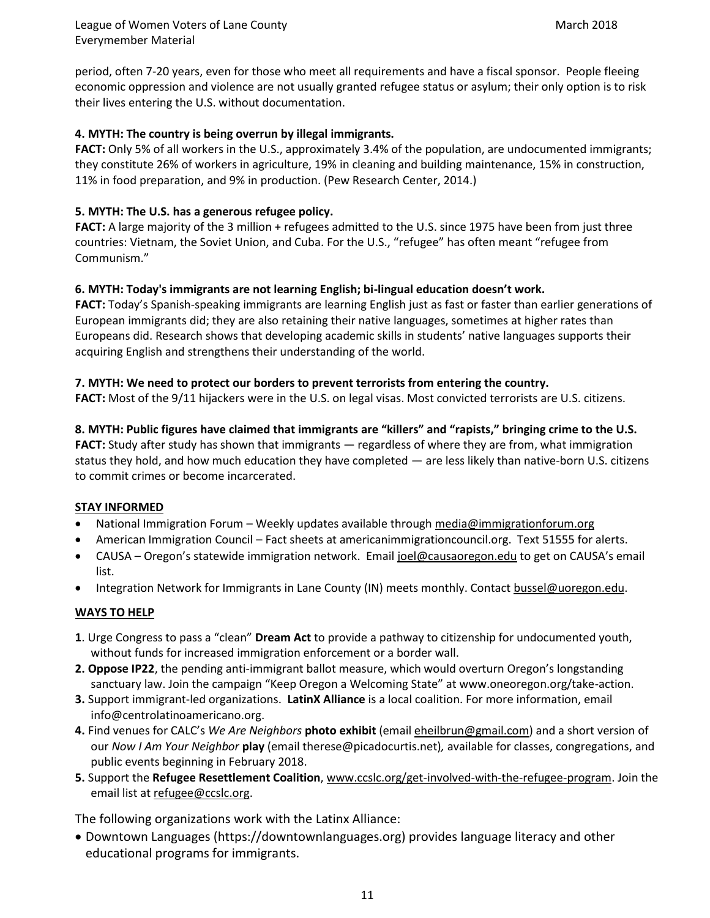period, often 7-20 years, even for those who meet all requirements and have a fiscal sponsor. People fleeing economic oppression and violence are not usually granted refugee status or asylum; their only option is to risk their lives entering the U.S. without documentation.

## **4. MYTH: The country is being overrun by illegal immigrants.**

**FACT:** Only 5% of all workers in the U.S., approximately 3.4% of the population, are undocumented immigrants; they constitute 26% of workers in agriculture, 19% in cleaning and building maintenance, 15% in construction, 11% in food preparation, and 9% in production. (Pew Research Center, 2014.)

## **5. MYTH: The U.S. has a generous refugee policy.**

**FACT:** A large majority of the 3 million + refugees admitted to the U.S. since 1975 have been from just three countries: Vietnam, the Soviet Union, and Cuba. For the U.S., "refugee" has often meant "refugee from Communism."

## **6. MYTH: Today's immigrants are not learning English; bi-lingual education doesn't work.**

**FACT:** Today's Spanish-speaking immigrants are learning English just as fast or faster than earlier generations of European immigrants did; they are also retaining their native languages, sometimes at higher rates than Europeans did. Research shows that developing academic skills in students' native languages supports their acquiring English and strengthens their understanding of the world.

## **7. MYTH: We need to protect our borders to prevent terrorists from entering the country.**

**FACT:** Most of the 9/11 hijackers were in the U.S. on legal visas. Most convicted terrorists are U.S. citizens.

**8. MYTH: Public figures have claimed that immigrants are "killers" and "rapists," bringing crime to the U.S. FACT:** Study after study has shown that immigrants — regardless of where they are from, what immigration status they hold, and how much education they have completed — are less likely than native-born U.S. citizens to commit crimes or become incarcerated.

## **STAY INFORMED**

- National Immigration Forum Weekly updates available through [media@immigrationforum.org](mailto:media@immigrationforum.org)
- American Immigration Council Fact sheets at americanimmigrationcouncil.org. Text 51555 for alerts.
- CAUSA Oregon's statewide immigration network. Email [joel@causaoregon.edu](mailto:joel@causaoregon.edu) to get on CAUSA's email list.
- Integration Network for Immigrants in Lane County (IN) meets monthly. Contact [bussel@uoregon.edu.](mailto:bussel@uoregon.edu)

## **WAYS TO HELP**

- **1**. Urge Congress to pass a "clean" **Dream Act** to provide a pathway to citizenship for undocumented youth, without funds for increased immigration enforcement or a border wall.
- **2. Oppose IP22**, the pending anti-immigrant ballot measure, which would overturn Oregon's longstanding sanctuary law. Join the campaign "Keep Oregon a Welcoming State" at www.oneoregon.org/take-action.
- **3.** Support immigrant-led organizations. **LatinX Alliance** is a local coalition. For more information, email info@centrolatinoamericano.org.
- **4.** Find venues for CALC's *We Are Neighbors* **photo exhibit** (emai[l eheilbrun@gmail.com\)](mailto:eheilbrun@gmail.com) and a short version of our *Now I Am Your Neighbor* **play** (email therese@picadocurtis.net)*,* available for classes, congregations, and public events beginning in February 2018.
- **5.** Support the **Refugee Resettlement Coalition**[, www.ccslc.org/get-involved-with-the-refugee-program.](http://www.ccslc.org/get-involved-with-the-refugee-program) Join the email list a[t refugee@ccslc.org.](mailto:refugee@ccslc.org)

The following organizations work with the Latinx Alliance:

• Downtown Languages (https://downtownlanguages.org) provides language literacy and other educational programs for immigrants.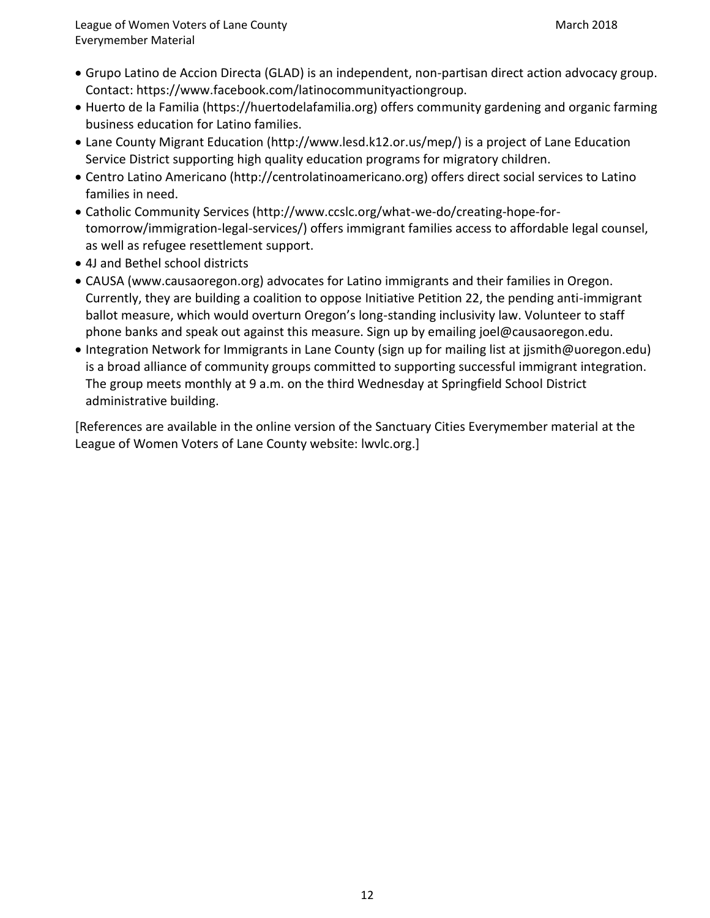- Grupo Latino de Accion Directa (GLAD) is an independent, non-partisan direct action advocacy group. Contact: https://www.facebook.com/latinocommunityactiongroup.
- Huerto de la Familia (https://huertodelafamilia.org) offers community gardening and organic farming business education for Latino families.
- Lane County Migrant Education (http://www.lesd.k12.or.us/mep/) is a project of Lane Education Service District supporting high quality education programs for migratory children.
- Centro Latino Americano (http://centrolatinoamericano.org) offers direct social services to Latino families in need.
- Catholic Community Services (http://www.ccslc.org/what-we-do/creating-hope-fortomorrow/immigration-legal-services/) offers immigrant families access to affordable legal counsel, as well as refugee resettlement support.
- 4J and Bethel school districts
- CAUSA (www.causaoregon.org) advocates for Latino immigrants and their families in Oregon. Currently, they are building a coalition to oppose Initiative Petition 22, the pending anti-immigrant ballot measure, which would overturn Oregon's long-standing inclusivity law. Volunteer to staff phone banks and speak out against this measure. Sign up by emailing joel@causaoregon.edu.
- Integration Network for Immigrants in Lane County (sign up for mailing list at jjsmith@uoregon.edu) is a broad alliance of community groups committed to supporting successful immigrant integration. The group meets monthly at 9 a.m. on the third Wednesday at Springfield School District administrative building.

[References are available in the online version of the Sanctuary Cities Everymember material at the League of Women Voters of Lane County website: lwvlc.org.]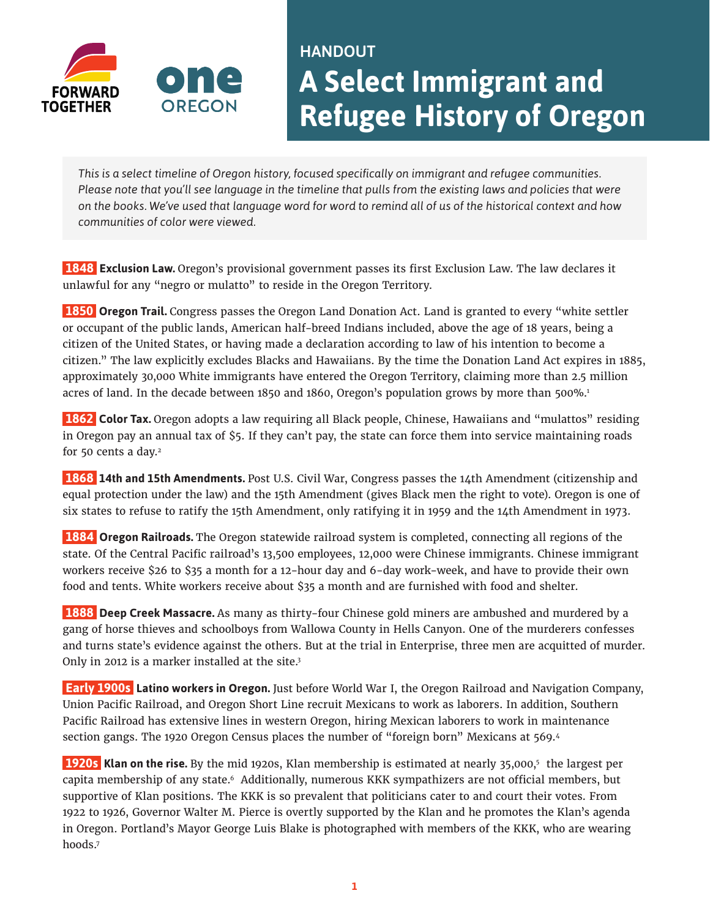

# HANDOUT **A Select Immigrant and Refugee History of Oregon**

*This is a select timeline of Oregon history, focused specifically on immigrant and refugee communities. Please note that you'll see language in the timeline that pulls from the existing laws and policies that were on the books. We've used that language word for word to remind all of us of the historical context and how communities of color were viewed.*

 **1848 Exclusion Law.** Oregon's provisional government passes its first Exclusion Law. The law declares it unlawful for any "negro or mulatto" to reside in the Oregon Territory.

**1850 Oregon Trail.** Congress passes the Oregon Land Donation Act. Land is granted to every "white settler or occupant of the public lands, American half-breed Indians included, above the age of 18 years, being a citizen of the United States, or having made a declaration according to law of his intention to become a citizen." The law explicitly excludes Blacks and Hawaiians. By the time the Donation Land Act expires in 1885, approximately 30,000 White immigrants have entered the Oregon Territory, claiming more than 2.5 million acres of land. In the decade between 1850 and 1860, Oregon's population grows by more than 500%[.1](#page-15-0)

 **1862 Color Tax.** Oregon adopts a law requiring all Black people, Chinese, Hawaiians and "mulattos" residing in Oregon pay an annual tax of \$5. If they can't pay, the state can force them into service maintaining roads for 50 cents a day.<sup>2</sup>

 **1868 14th and 15th Amendments.** Post U.S. Civil War, Congress passes the 14th Amendment (citizenship and equal protection under the law) and the 15th Amendment (gives Black men the right to vote). Oregon is one of six states to refuse to ratify the 15th Amendment, only ratifying it in 1959 and the 14th Amendment in 1973.

 **1884 Oregon Railroads.** The Oregon statewide railroad system is completed, connecting all regions of the state. Of the Central Pacific railroad's 13,500 employees, 12,000 were Chinese immigrants. Chinese immigrant workers receive \$26 to \$35 a month for a 12-hour day and 6-day work-week, and have to provide their own food and tents. White workers receive about \$35 a month and are furnished with food and shelter.

 **1888 Deep Creek Massacre.** As many as thirty-four Chinese gold miners are ambushed and murdered by a gang of horse thieves and schoolboys from Wallowa County in Hells Canyon. One of the murderers confesses and turns state's evidence against the others. But at the trial in Enterprise, three men are acquitted of murder. Only in 2012 is a marker installed at the site.<sup>3</sup>

**Early 1900s Latino workers in Oregon.** Just before World War I, the Oregon Railroad and Navigation Company, Union Pacific Railroad, and Oregon Short Line recruit Mexicans to work as laborers. In addition, Southern Pacific Railroad has extensive lines in western Oregon, hiring Mexican laborers to work in maintenance section gangs. The 1920 Oregon Census places the number of "foreign born" Mexicans at 569[.4](#page-15-3)

**1920s Klan on the rise.** By the mid 1920s, Klan membership is estimated at nearly 35,000,<sup>5</sup> the largest per capita membership of any state[.6](#page-15-5) Additionally, numerous KKK sympathizers are not official members, but supportive of Klan positions. The KKK is so prevalent that politicians cater to and court their votes. From 1922 to 1926, Governor Walter M. Pierce is overtly supported by the Klan and he promotes the Klan's agenda in Oregon. Portland's Mayor George Luis Blake is photographed with members of the KKK, who are wearing hoods[.7](#page-15-6)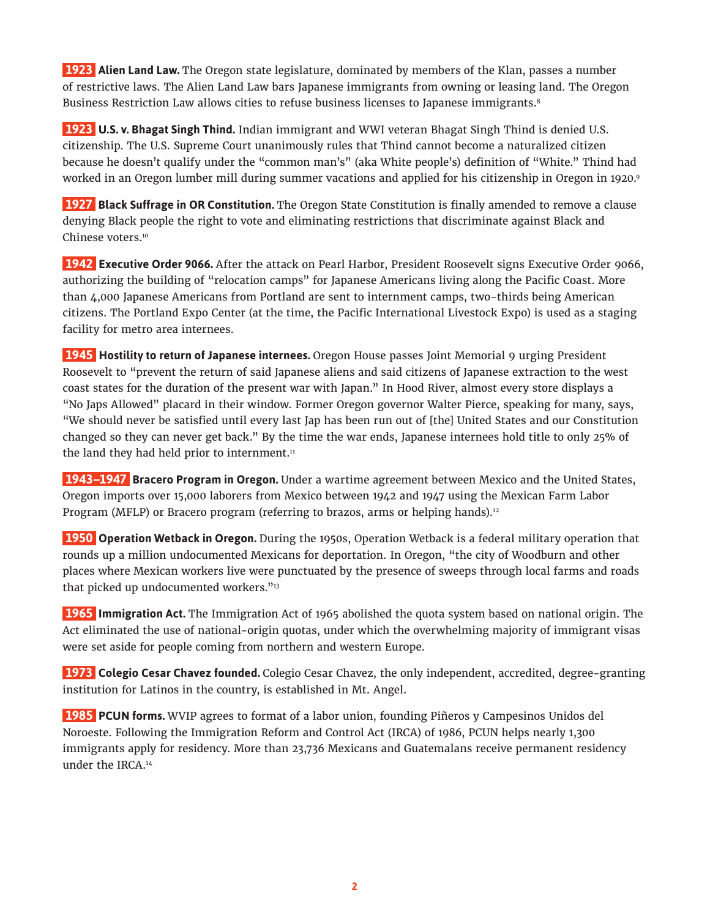**1923 Alien Land Law.** The Oregon state legislature, dominated by members of the Klan, passes a number of restrictive laws. The Alien Land Law bars Japanese immigrants from owning or leasing land. The Oregon Business Restriction Law allows cities to refuse business licenses to Japanese immigrants[.8](#page-15-7)

 **1923 U.S. v. Bhagat Singh Thind.** Indian immigrant and WWI veteran Bhagat Singh Thind is denied U.S. citizenship. The U.S. Supreme Court unanimously rules that Thind cannot become a naturalized citizen because he doesn't qualify under the "common man's" (aka White people's) definition of "White." Thind had worked in an Oregon lumber mill during summer vacations and applied for his citizenship in Oregon in 1920.<sup>9</sup>

 **1927 Black Suffrage in OR Constitution.** The Oregon State Constitution is finally amended to remove a clause denying Black people the right to vote and eliminating restrictions that discriminate against Black and Chinese voters.<sup>[10](#page-15-9)</sup>

 **1942 Executive Order 9066.** After the attack on Pearl Harbor, President Roosevelt signs Executive Order 9066, authorizing the building of "relocation camps" for Japanese Americans living along the Pacific Coast. More than 4,000 Japanese Americans from Portland are sent to internment camps, two-thirds being American citizens. The Portland Expo Center (at the time, the Pacific International Livestock Expo) is used as a staging facility for metro area internees.

 **1945 Hostility to return of Japanese internees.** Oregon House passes Joint Memorial 9 urging President Roosevelt to "prevent the return of said Japanese aliens and said citizens of Japanese extraction to the west coast states for the duration of the present war with Japan." In Hood River, almost every store displays a "No Japs Allowed" placard in their window. Former Oregon governor Walter Pierce, speaking for many, says, "We should never be satisfied until every last Jap has been run out of [the] United States and our Constitution changed so they can never get back." By the time the war ends, Japanese internees hold title to only 25% of the land they had held prior to internment.<sup>11</sup>

 **1943–1947 Bracero Program in Oregon.** Under a wartime agreement between Mexico and the United States, Oregon imports over 15,000 laborers from Mexico between 1942 and 1947 using the Mexican Farm Labor Program (MFLP) or Bracero program (referring to brazos, arms or helping hands).<sup>12</sup>

 **1950 Operation Wetback in Oregon.** During the 1950s, Operation Wetback is a federal military operation that rounds up a million undocumented Mexicans for deportation. In Oregon, "the city of Woodburn and other places where Mexican workers live were punctuated by the presence of sweeps through local farms and roads that picked up undocumented workers."<sup>13</sup>

 **1965 Immigration Act.** The Immigration Act of 1965 abolished the quota system based on national origin. The Act eliminated the use of national-origin quotas, under which the overwhelming majority of immigrant visas were set aside for people coming from northern and western Europe.

 **1973 Colegio Cesar Chavez founded.** Colegio Cesar Chavez, the only independent, accredited, degree-granting institution for Latinos in the country, is established in Mt. Angel.

 **1985 PCUN forms.** WVIP agrees to format of a labor union, founding Piñeros y Campesinos Unidos del Noroeste. Following the Immigration Reform and Control Act (IRCA) of 1986, PCUN helps nearly 1,300 immigrants apply for residency. More than 23,736 Mexicans and Guatemalans receive permanent residency under the IRCA[.14](#page-15-13)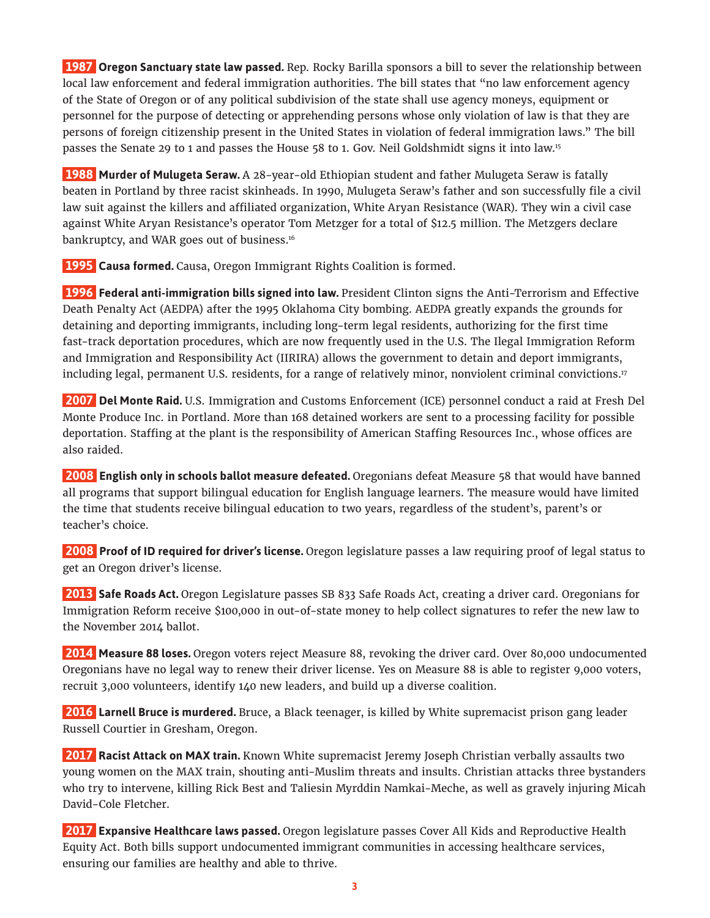**1987 Oregon Sanctuary state law passed.** Rep. Rocky Barilla sponsors a bill to sever the relationship between local law enforcement and federal immigration authorities. The bill states that "no law enforcement agency of the State of Oregon or of any political subdivision of the state shall use agency moneys, equipment or personnel for the purpose of detecting or apprehending persons whose only violation of law is that they are persons of foreign citizenship present in the United States in violation of federal immigration laws." The bill passes the Senate 29 to 1 and passes the House 58 to 1. Gov. Neil Goldshmidt signs it into law[.15](#page-15-14)

 **1988 Murder of Mulugeta Seraw.** A 28-year-old Ethiopian student and father Mulugeta Seraw is fatally beaten in Portland by three racist skinheads. In 1990, Mulugeta Seraw's father and son successfully file a civil law suit against the killers and affiliated organization, White Aryan Resistance (WAR). They win a civil case against White Aryan Resistance's operator Tom Metzger for a total of \$12.5 million. The Metzgers declare bankruptcy, and WAR goes out of business.<sup>16</sup>

**1995 Causa formed.** Causa, Oregon Immigrant Rights Coalition is formed.

 **1996 Federal anti-immigration bills signed into law.** President Clinton signs the Anti-Terrorism and Effective Death Penalty Act (AEDPA) after the 1995 Oklahoma City bombing. AEDPA greatly expands the grounds for detaining and deporting immigrants, including long-term legal residents, authorizing for the first time fast-track deportation procedures, which are now frequently used in the U.S. The Ilegal Immigration Reform and Immigration and Responsibility Act (IIRIRA) allows the government to detain and deport immigrants, including legal, permanent U.S. residents, for a range of relatively minor, nonviolent criminal convictions[.17](#page-15-16)

 **2007 Del Monte Raid.** U.S. Immigration and Customs Enforcement (ICE) personnel conduct a raid at Fresh Del Monte Produce Inc. in Portland. More than 168 detained workers are sent to a processing facility for possible deportation. Staffing at the plant is the responsibility of American Staffing Resources Inc., whose offices are also raided.

 **2008 English only in schools ballot measure defeated.** Oregonians defeat Measure 58 that would have banned all programs that support bilingual education for English language learners. The measure would have limited the time that students receive bilingual education to two years, regardless of the student's, parent's or teacher's choice.

 **2008 Proof of ID required for driver's license.** Oregon legislature passes a law requiring proof of legal status to get an Oregon driver's license.

 **2013 Safe Roads Act.** Oregon Legislature passes SB 833 Safe Roads Act, creating a driver card. Oregonians for Immigration Reform receive \$100,000 in out-of-state money to help collect signatures to refer the new law to the November 2014 ballot.

 **2014 Measure 88 loses.** Oregon voters reject Measure 88, revoking the driver card. Over 80,000 undocumented Oregonians have no legal way to renew their driver license. Yes on Measure 88 is able to register 9,000 voters, recruit 3,000 volunteers, identify 140 new leaders, and build up a diverse coalition.

 **2016 Larnell Bruce is murdered.** Bruce, a Black teenager, is killed by White supremacist prison gang leader Russell Courtier in Gresham, Oregon.

**2017 Racist Attack on MAX train.** Known White supremacist Jeremy Joseph Christian verbally assaults two young women on the MAX train, shouting anti-Muslim threats and insults. Christian attacks three bystanders who try to intervene, killing Rick Best and Taliesin Myrddin Namkai-Meche, as well as gravely injuring Micah David-Cole Fletcher.

 **2017 Expansive Healthcare laws passed.** Oregon legislature passes Cover All Kids and Reproductive Health Equity Act. Both bills support undocumented immigrant communities in accessing healthcare services, ensuring our families are healthy and able to thrive.